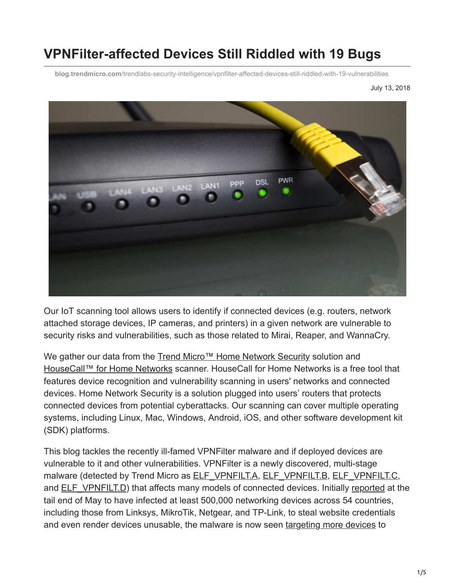# **VPNFilter-affected Devices Still Riddled with 19 Bugs**

**blog.trendmicro.com**[/trendlabs-security-intelligence/vpnfilter-affected-devices-still-riddled-with-19-vulnerabilities](https://blog.trendmicro.com/trendlabs-security-intelligence/vpnfilter-affected-devices-still-riddled-with-19-vulnerabilities)

July 13, 2018



Our IoT scanning tool allows users to identify if connected devices (e.g. routers, network attached storage devices, IP cameras, and printers) in a given network are vulnerable to security risks and vulnerabilities, such as those related to Mirai, Reaper, and WannaCry.

We gather our data from the [Trend Micro™ Home Network Security](https://blog.trendmicro.com/en_us/forHome/products/homenetworksecurity.html) solution and [HouseCall™ for Home Networks](https://blog.trendmicro.com/en_us/forHome/products/housecall/home-network.html) scanner. HouseCall for Home Networks is a free tool that features device recognition and vulnerability scanning in users' networks and connected devices. Home Network Security is a solution plugged into users' routers that protects connected devices from potential cyberattacks. Our scanning can cover multiple operating systems, including Linux, Mac, Windows, Android, iOS, and other software development kit (SDK) platforms.

This blog tackles the recently ill-famed VPNFilter malware and if deployed devices are vulnerable to it and other vulnerabilities. VPNFilter is a newly discovered, multi-stage malware (detected by Trend Micro as [ELF\\_VPNFILT.A](https://www.trendmicro.com/vinfo/tmr/?/us/threat-encyclopedia/malware/ELF_VPNFILT.A), [ELF\\_VPNFILT.B,](https://www.trendmicro.com/vinfo/tmr/?/us/threat-encyclopedia/malware/ELF_VPNFILT.B) [ELF\\_VPNFILT.C,](https://www.trendmicro.com/vinfo/tmr/?/us/threat-encyclopedia/malware/ELF_VPNFILT.C) and ELF VPNFILT.D) that affects many models of connected devices. Initially [reported](https://www.trendmicro.com/vinfo/tmr/?/us/security/news/internet-of-things/reboot-your-routers-vpnfilter-infected-over-500-000-routers-worldwide) at the tail end of May to have infected at least 500,000 networking devices across 54 countries, including those from Linksys, MikroTik, Netgear, and TP-Link, to steal website credentials and even render devices unusable, the malware is now seen [targeting more devices](https://www.zdnet.com/article/vpnfilter-malware-now-targeting-asus-d-link-huawei-zte/) to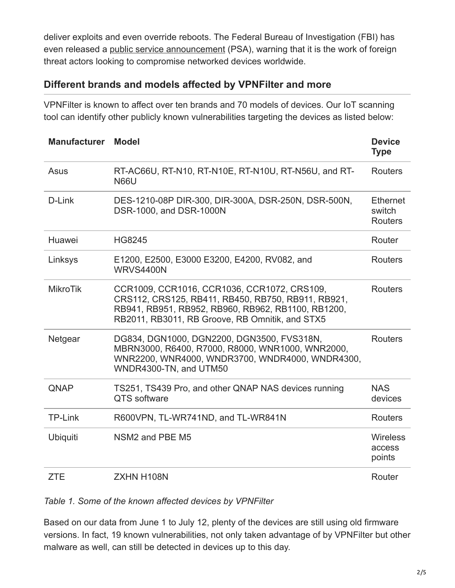deliver exploits and even override reboots. The Federal Bureau of Investigation (FBI) has even released a [public service announcement](https://www.ic3.gov/media/2018/180525.aspx) (PSA), warning that it is the work of foreign threat actors looking to compromise networked devices worldwide.

## **Different brands and models affected by VPNFilter and more**

VPNFilter is known to affect over ten brands and 70 models of devices. Our IoT scanning tool can identify other publicly known vulnerabilities targeting the devices as listed below:

| <b>Manufacturer</b> | <b>Model</b>                                                                                                                                                                                               | <b>Device</b><br><b>Type</b>                |
|---------------------|------------------------------------------------------------------------------------------------------------------------------------------------------------------------------------------------------------|---------------------------------------------|
| Asus                | RT-AC66U, RT-N10, RT-N10E, RT-N10U, RT-N56U, and RT-<br><b>N66U</b>                                                                                                                                        | <b>Routers</b>                              |
| D-Link              | DES-1210-08P DIR-300, DIR-300A, DSR-250N, DSR-500N,<br>DSR-1000, and DSR-1000N                                                                                                                             | <b>Ethernet</b><br>switch<br><b>Routers</b> |
| Huawei              | <b>HG8245</b>                                                                                                                                                                                              | Router                                      |
| Linksys             | E1200, E2500, E3000 E3200, E4200, RV082, and<br><b>WRVS4400N</b>                                                                                                                                           | Routers                                     |
| <b>MikroTik</b>     | CCR1009, CCR1016, CCR1036, CCR1072, CRS109,<br>CRS112, CRS125, RB411, RB450, RB750, RB911, RB921,<br>RB941, RB951, RB952, RB960, RB962, RB1100, RB1200,<br>RB2011, RB3011, RB Groove, RB Omnitik, and STX5 | <b>Routers</b>                              |
| Netgear             | DG834, DGN1000, DGN2200, DGN3500, FVS318N,<br>MBRN3000, R6400, R7000, R8000, WNR1000, WNR2000,<br>WNR2200, WNR4000, WNDR3700, WNDR4000, WNDR4300,<br>WNDR4300-TN, and UTM50                                | <b>Routers</b>                              |
| QNAP                | TS251, TS439 Pro, and other QNAP NAS devices running<br><b>QTS</b> software                                                                                                                                | <b>NAS</b><br>devices                       |
| <b>TP-Link</b>      | R600VPN, TL-WR741ND, and TL-WR841N                                                                                                                                                                         | <b>Routers</b>                              |
| <b>Ubiquiti</b>     | NSM2 and PBE M5                                                                                                                                                                                            | <b>Wireless</b><br>access<br>points         |
| <b>ZTE</b>          | ZXHN H108N                                                                                                                                                                                                 | Router                                      |

#### *Table 1. Some of the known affected devices by VPNFilter*

Based on our data from June 1 to July 12, plenty of the devices are still using old firmware versions. In fact, 19 known vulnerabilities, not only taken advantage of by VPNFilter but other malware as well, can still be detected in devices up to this day.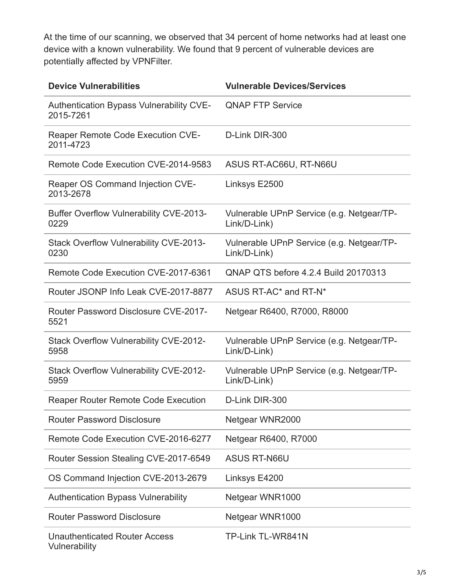At the time of our scanning, we observed that 34 percent of home networks had at least one device with a known vulnerability. We found that 9 percent of vulnerable devices are potentially affected by VPNFilter.

| <b>Device Vulnerabilities</b>                          | <b>Vulnerable Devices/Services</b>                        |  |
|--------------------------------------------------------|-----------------------------------------------------------|--|
| Authentication Bypass Vulnerability CVE-<br>2015-7261  | <b>QNAP FTP Service</b>                                   |  |
| Reaper Remote Code Execution CVE-<br>2011-4723         | D-Link DIR-300                                            |  |
| Remote Code Execution CVE-2014-9583                    | ASUS RT-AC66U, RT-N66U                                    |  |
| Reaper OS Command Injection CVE-<br>2013-2678          | Linksys E2500                                             |  |
| <b>Buffer Overflow Vulnerability CVE-2013-</b><br>0229 | Vulnerable UPnP Service (e.g. Netgear/TP-<br>Link/D-Link) |  |
| <b>Stack Overflow Vulnerability CVE-2013-</b><br>0230  | Vulnerable UPnP Service (e.g. Netgear/TP-<br>Link/D-Link) |  |
| Remote Code Execution CVE-2017-6361                    | QNAP QTS before 4.2.4 Build 20170313                      |  |
| Router JSONP Info Leak CVE-2017-8877                   | ASUS RT-AC* and RT-N*                                     |  |
| Router Password Disclosure CVE-2017-<br>5521           | Netgear R6400, R7000, R8000                               |  |
| <b>Stack Overflow Vulnerability CVE-2012-</b><br>5958  | Vulnerable UPnP Service (e.g. Netgear/TP-<br>Link/D-Link) |  |
| Stack Overflow Vulnerability CVE-2012-<br>5959         | Vulnerable UPnP Service (e.g. Netgear/TP-<br>Link/D-Link) |  |
| <b>Reaper Router Remote Code Execution</b>             | D-Link DIR-300                                            |  |
| <b>Router Password Disclosure</b>                      | Netgear WNR2000                                           |  |
| Remote Code Execution CVE-2016-6277                    | Netgear R6400, R7000                                      |  |
| Router Session Stealing CVE-2017-6549                  | <b>ASUS RT-N66U</b>                                       |  |
| OS Command Injection CVE-2013-2679                     | Linksys E4200                                             |  |
| <b>Authentication Bypass Vulnerability</b>             | Netgear WNR1000                                           |  |
| <b>Router Password Disclosure</b>                      | Netgear WNR1000                                           |  |
| <b>Unauthenticated Router Access</b><br>Vulnerability  | TP-Link TL-WR841N                                         |  |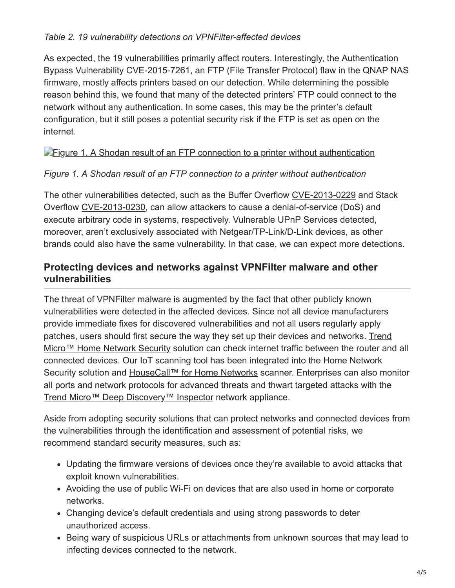### *Table 2. 19 vulnerability detections on VPNFilter-affected devices*

As expected, the 19 vulnerabilities primarily affect routers. Interestingly, the Authentication Bypass Vulnerability CVE-2015-7261, an FTP (File Transfer Protocol) flaw in the QNAP NAS firmware, mostly affects printers based on our detection. While determining the possible reason behind this, we found that many of the detected printers' FTP could connect to the network without any authentication. In some cases, this may be the printer's default configuration, but it still poses a potential security risk if the FTP is set as open on the internet.

### **[Figure 1. A Shodan result of an FTP connection to a printer without authentication](https://blog.trendmicro.com/content/dam/trendmicro/global/en/migrated/security-intelligence-migration-spreadsheet/trendlabs-security-intelligence/2018/07/shodan-ftp-printer.jpg)**

#### *Figure 1. A Shodan result of an FTP connection to a printer without authentication*

The other vulnerabilities detected, such as the Buffer Overflow [CVE-2013-0229](https://cve.mitre.org/cgi-bin/cvename.cgi?name=CVE-2013-0229) and Stack Overflow [CVE-2013-0230,](https://cve.mitre.org/cgi-bin/cvename.cgi?name=CVE-2013-0230) can allow attackers to cause a denial-of-service (DoS) and execute arbitrary code in systems, respectively. Vulnerable UPnP Services detected, moreover, aren't exclusively associated with Netgear/TP-Link/D-Link devices, as other brands could also have the same vulnerability. In that case, we can expect more detections.

## **Protecting devices and networks against VPNFilter malware and other vulnerabilities**

The threat of VPNFilter malware is augmented by the fact that other publicly known vulnerabilities were detected in the affected devices. Since not all device manufacturers provide immediate fixes for discovered vulnerabilities and not all users regularly apply [patches, users should first secure the way they set up their devices and networks. Trend](https://blog.trendmicro.com/en_us/forHome/products/homenetworksecurity.html) Micro™ Home Network Security solution can check internet traffic between the router and all connected devices. Our IoT scanning tool has been integrated into the Home Network Security solution and [HouseCall™ for Home Networks](https://blog.trendmicro.com/en_us/forHome/products/housecall/home-network.html) scanner. Enterprises can also monitor all ports and network protocols for advanced threats and thwart targeted attacks with the [Trend Micro™ Deep Discovery™ Inspector](https://blog.trendmicro.com/en_us/business/products/network/advanced-threat-protection/inspector.html) network appliance.

Aside from adopting security solutions that can protect networks and connected devices from the vulnerabilities through the identification and assessment of potential risks, we recommend standard security measures, such as:

- Updating the firmware versions of devices once they're available to avoid attacks that exploit known vulnerabilities.
- Avoiding the use of public Wi-Fi on devices that are also used in home or corporate networks.
- Changing device's default credentials and using strong passwords to deter unauthorized access.
- Being wary of suspicious URLs or attachments from unknown sources that may lead to infecting devices connected to the network.